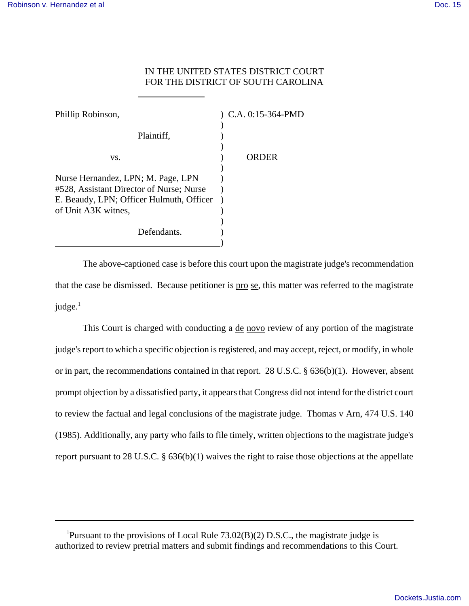## IN THE UNITED STATES DISTRICT COURT FOR THE DISTRICT OF SOUTH CAROLINA

| Phillip Robinson,                                                              | ) C.A. 0:15-364-PMD |
|--------------------------------------------------------------------------------|---------------------|
| Plaintiff,                                                                     |                     |
| VS.                                                                            |                     |
| Nurse Hernandez, LPN; M. Page, LPN<br>#528, Assistant Director of Nurse; Nurse |                     |
| E. Beaudy, LPN; Officer Hulmuth, Officer<br>of Unit A3K witnes,                |                     |
| Defendants.                                                                    |                     |

 $\overline{a}$ 

The above-captioned case is before this court upon the magistrate judge's recommendation that the case be dismissed. Because petitioner is pro se, this matter was referred to the magistrate judge. $<sup>1</sup>$ </sup>

This Court is charged with conducting a <u>de novo</u> review of any portion of the magistrate judge's report to which a specific objection is registered, and may accept, reject, or modify, in whole or in part, the recommendations contained in that report. 28 U.S.C. § 636(b)(1). However, absent prompt objection by a dissatisfied party, it appears that Congress did not intend for the district court to review the factual and legal conclusions of the magistrate judge. Thomas v Arn, 474 U.S. 140 (1985). Additionally, any party who fails to file timely, written objections to the magistrate judge's report pursuant to 28 U.S.C. § 636(b)(1) waives the right to raise those objections at the appellate

<sup>1</sup>Pursuant to the provisions of Local Rule  $73.02(B)(2)$  D.S.C., the magistrate judge is authorized to review pretrial matters and submit findings and recommendations to this Court.